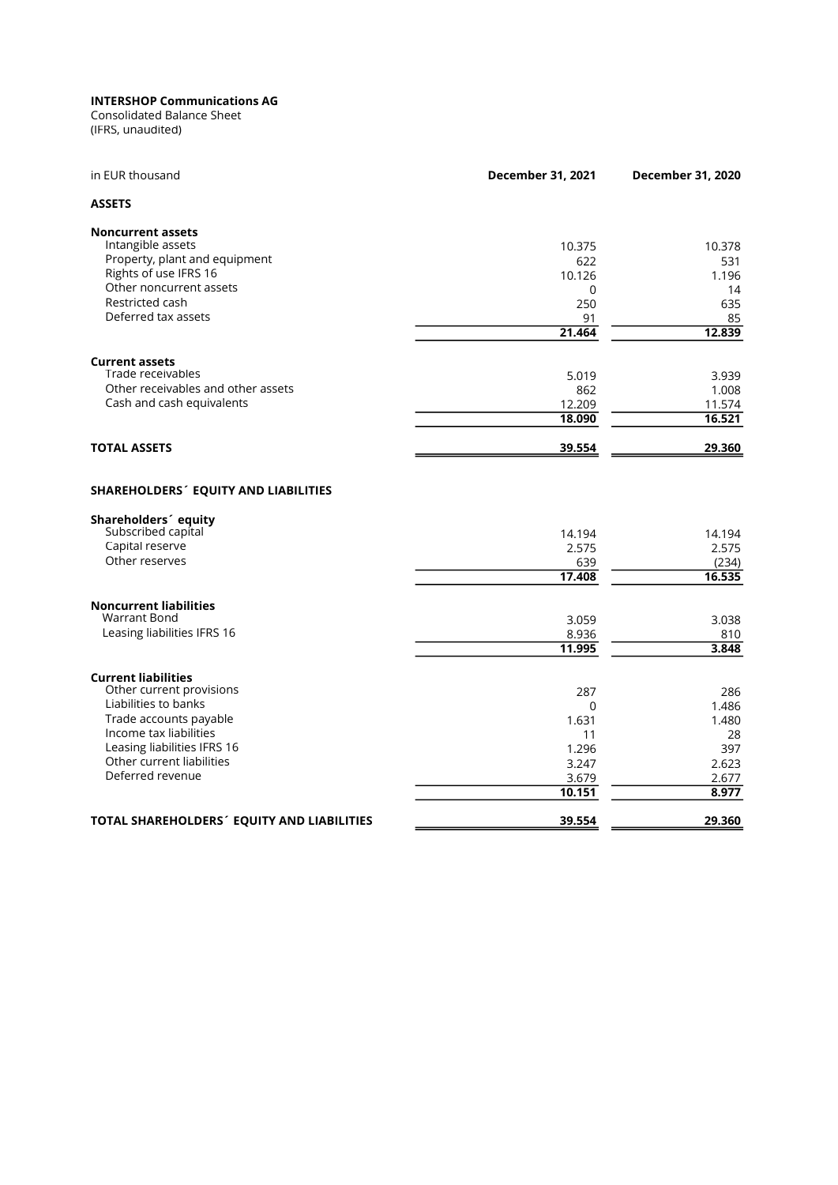(IFRS, unaudited) Consolidated Balance Sheet

| in EUR thousand                                                                 | December 31, 2021 | December 31, 2020 |
|---------------------------------------------------------------------------------|-------------------|-------------------|
| <b>ASSETS</b>                                                                   |                   |                   |
| <b>Noncurrent assets</b>                                                        |                   |                   |
| Intangible assets                                                               | 10.375            | 10.378            |
| Property, plant and equipment                                                   | 622               | 531               |
| Rights of use IFRS 16                                                           | 10.126            | 1.196             |
| Other noncurrent assets                                                         | $\Omega$          | 14                |
| Restricted cash                                                                 | 250               | 635               |
| Deferred tax assets                                                             | 91                | 85                |
|                                                                                 | 21.464            | 12.839            |
| <b>Current assets</b>                                                           |                   |                   |
| Trade receivables                                                               | 5.019             | 3.939             |
| Other receivables and other assets                                              | 862               | 1.008             |
| Cash and cash equivalents                                                       | 12.209            | 11.574            |
|                                                                                 | 18.090            | 16.521            |
| <b>TOTAL ASSETS</b>                                                             | 39.554            | 29.360            |
| <b>SHAREHOLDERS' EQUITY AND LIABILITIES</b><br>Shareholders <sup>2</sup> equity |                   |                   |
| Subscribed capital                                                              | 14.194            | 14.194            |
| Capital reserve                                                                 | 2.575             | 2.575             |
| Other reserves                                                                  | 639               | (234)             |
|                                                                                 | 17.408            | 16.535            |
| <b>Noncurrent liabilities</b>                                                   |                   |                   |
| <b>Warrant Bond</b>                                                             | 3.059             | 3.038             |
| Leasing liabilities IFRS 16                                                     | 8.936             | 810               |
|                                                                                 | 11.995            | 3.848             |
| <b>Current liabilities</b>                                                      |                   |                   |
| Other current provisions                                                        | 287               | 286               |
| Liabilities to banks                                                            | 0                 | 1.486             |
| Trade accounts payable                                                          | 1.631             | 1.480             |
| Income tax liabilities                                                          | 11                | 28                |
| Leasing liabilities IFRS 16                                                     | 1.296             | 397               |
| Other current liabilities                                                       | 3.247             | 2.623             |
| Deferred revenue                                                                | 3.679             | 2.677             |
|                                                                                 | 10.151            | 8.977             |
| TOTAL SHAREHOLDERS' EQUITY AND LIABILITIES                                      | 39.554            | 29.360            |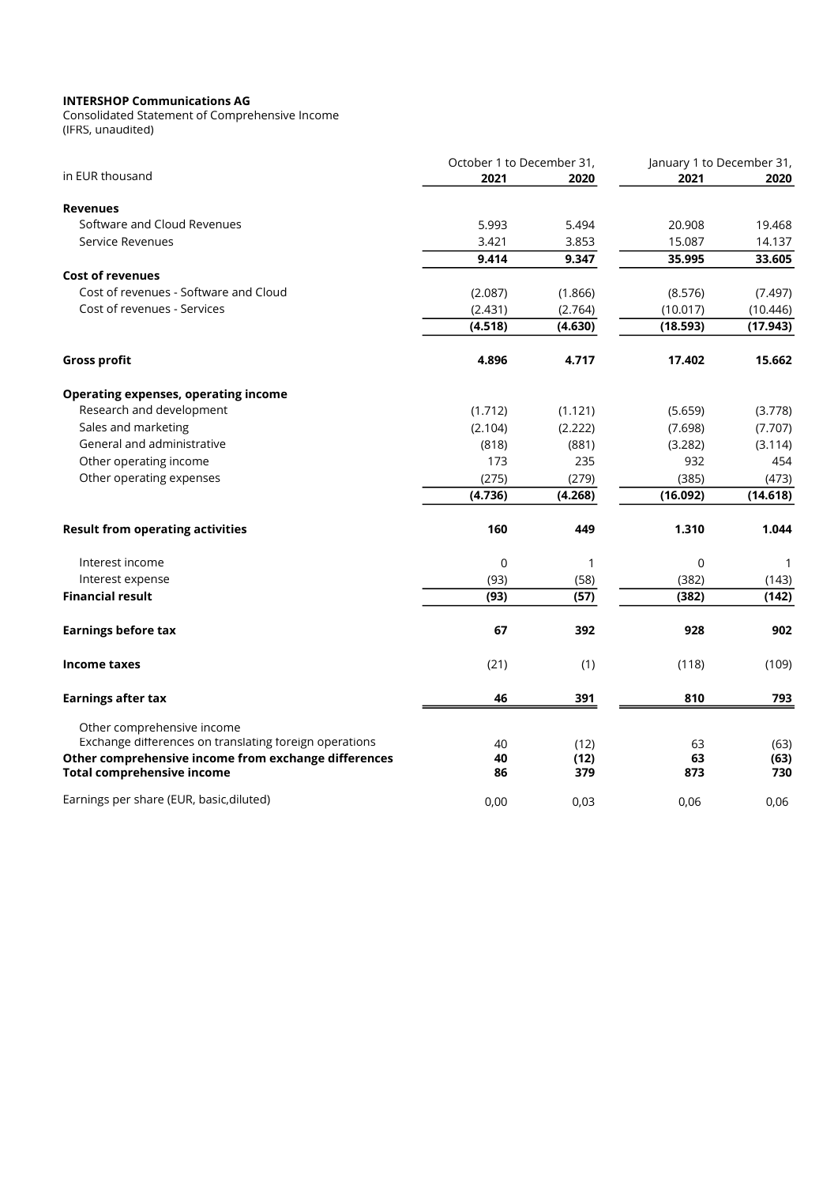Consolidated Statement of Comprehensive Income (IFRS, unaudited)

|                                                                                           | October 1 to December 31, |              | January 1 to December 31, |             |
|-------------------------------------------------------------------------------------------|---------------------------|--------------|---------------------------|-------------|
| in EUR thousand                                                                           | 2021                      | 2020         | 2021                      | 2020        |
| <b>Revenues</b>                                                                           |                           |              |                           |             |
| Software and Cloud Revenues                                                               | 5.993                     | 5.494        | 20.908                    | 19.468      |
| Service Revenues                                                                          | 3.421                     | 3.853        | 15.087                    | 14.137      |
|                                                                                           | 9.414                     | 9.347        | 35.995                    | 33.605      |
| <b>Cost of revenues</b>                                                                   |                           |              |                           |             |
| Cost of revenues - Software and Cloud                                                     | (2.087)                   | (1.866)      | (8.576)                   | (7.497)     |
| Cost of revenues - Services                                                               | (2.431)                   | (2.764)      | (10.017)                  | (10.446)    |
|                                                                                           | (4.518)                   | (4.630)      | (18.593)                  | (17.943)    |
| <b>Gross profit</b>                                                                       | 4.896                     | 4.717        | 17.402                    | 15.662      |
| <b>Operating expenses, operating income</b>                                               |                           |              |                           |             |
| Research and development                                                                  | (1.712)                   | (1.121)      | (5.659)                   | (3.778)     |
| Sales and marketing                                                                       | (2.104)                   | (2.222)      | (7.698)                   | (7.707)     |
| General and administrative                                                                | (818)                     | (881)        | (3.282)                   | (3.114)     |
| Other operating income                                                                    | 173                       | 235          | 932                       | 454         |
| Other operating expenses                                                                  | (275)                     | (279)        | (385)                     | (473)       |
|                                                                                           | (4.736)                   | (4.268)      | (16.092)                  | (14.618)    |
| <b>Result from operating activities</b>                                                   | 160                       | 449          | 1.310                     | 1.044       |
| Interest income                                                                           | $\mathbf 0$               | $\mathbf{1}$ | 0                         | -1          |
| Interest expense                                                                          | (93)                      | (58)         | (382)                     | (143)       |
| <b>Financial result</b>                                                                   | (93)                      | (57)         | (382)                     | (142)       |
| <b>Earnings before tax</b>                                                                | 67                        | 392          | 928                       | 902         |
| Income taxes                                                                              | (21)                      | (1)          | (118)                     | (109)       |
| <b>Earnings after tax</b>                                                                 | 46                        | 391          | 810                       | 793         |
| Other comprehensive income<br>Exchange differences on translating foreign operations      | 40                        | (12)         | 63                        | (63)        |
| Other comprehensive income from exchange differences<br><b>Total comprehensive income</b> | 40<br>86                  | (12)<br>379  | 63<br>873                 | (63)<br>730 |
| Earnings per share (EUR, basic, diluted)                                                  | 0.00                      | 0.03         | 0,06                      | 0.06        |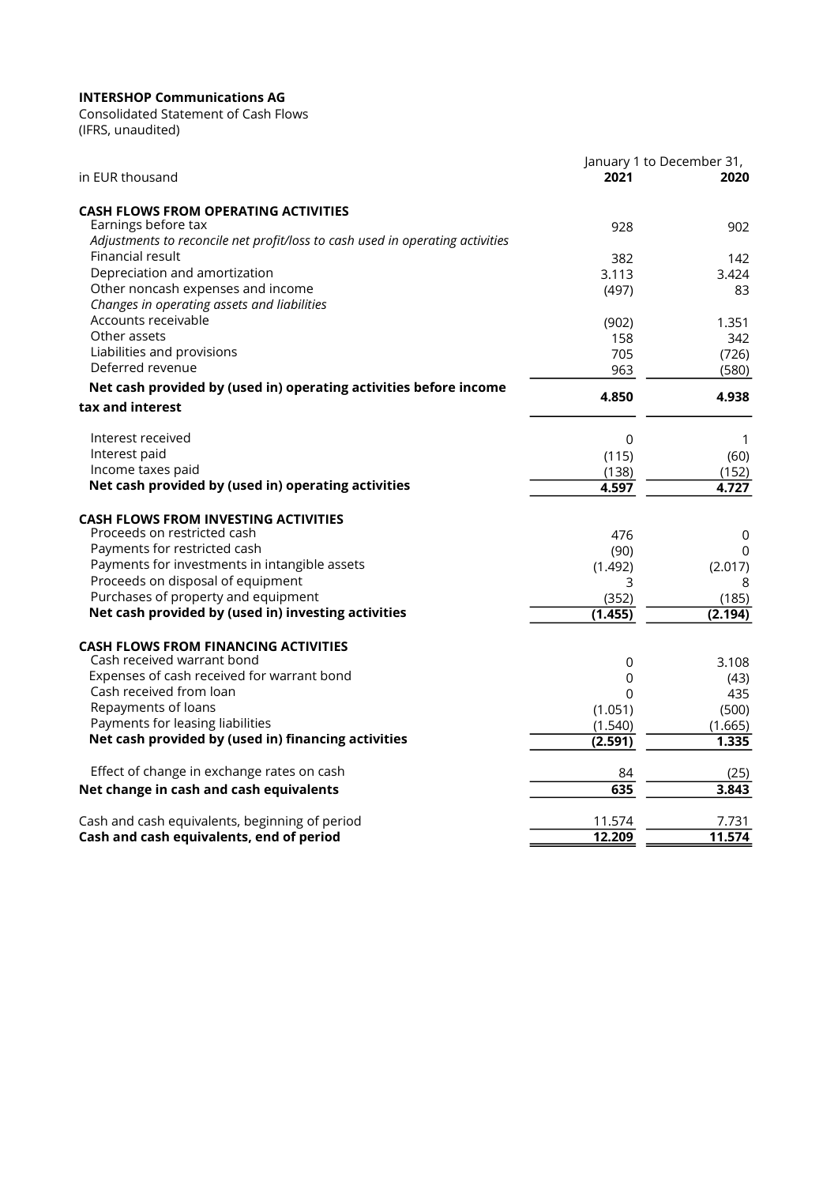(IFRS, unaudited) Consolidated Statement of Cash Flows

|                                                                                                      | January 1 to December 31, |                  |  |
|------------------------------------------------------------------------------------------------------|---------------------------|------------------|--|
| in EUR thousand                                                                                      | 2021                      | 2020             |  |
| <b>CASH FLOWS FROM OPERATING ACTIVITIES</b>                                                          |                           |                  |  |
| Earnings before tax<br>Adjustments to reconcile net profit/loss to cash used in operating activities | 928                       | 902              |  |
| Financial result                                                                                     | 382                       | 142              |  |
| Depreciation and amortization                                                                        | 3.113                     | 3.424            |  |
| Other noncash expenses and income                                                                    | (497)                     | 83               |  |
| Changes in operating assets and liabilities<br>Accounts receivable                                   |                           |                  |  |
| Other assets                                                                                         | (902)                     | 1.351            |  |
| Liabilities and provisions                                                                           | 158<br>705                | 342<br>(726)     |  |
| Deferred revenue                                                                                     | 963                       | (580)            |  |
| Net cash provided by (used in) operating activities before income                                    |                           |                  |  |
| tax and interest                                                                                     | 4.850                     | 4.938            |  |
| Interest received                                                                                    | 0                         | 1                |  |
| Interest paid                                                                                        | (115)                     | (60)             |  |
| Income taxes paid                                                                                    | (138)                     | (152)            |  |
| Net cash provided by (used in) operating activities                                                  | 4.597                     | 4.727            |  |
| <b>CASH FLOWS FROM INVESTING ACTIVITIES</b>                                                          |                           |                  |  |
| Proceeds on restricted cash                                                                          | 476                       | $\mathbf 0$      |  |
| Payments for restricted cash                                                                         | (90)                      | 0                |  |
| Payments for investments in intangible assets                                                        | (1.492)                   | (2.017)          |  |
| Proceeds on disposal of equipment                                                                    | 3                         | 8                |  |
| Purchases of property and equipment<br>Net cash provided by (used in) investing activities           | (352)                     | (185)            |  |
|                                                                                                      | (1.455)                   | (2.194)          |  |
| <b>CASH FLOWS FROM FINANCING ACTIVITIES</b>                                                          |                           |                  |  |
| Cash received warrant bond                                                                           | 0                         | 3.108            |  |
| Expenses of cash received for warrant bond                                                           | 0                         | (43)             |  |
| Cash received from loan                                                                              | 0                         | 435              |  |
| Repayments of loans<br>Payments for leasing liabilities                                              | (1.051)                   | (500)            |  |
| Net cash provided by (used in) financing activities                                                  | (1.540)<br>(2.591)        | (1.665)<br>1.335 |  |
|                                                                                                      |                           |                  |  |
| Effect of change in exchange rates on cash                                                           | 84                        | (25)             |  |
| Net change in cash and cash equivalents                                                              | 635                       | 3.843            |  |
| Cash and cash equivalents, beginning of period                                                       | 11.574                    | 7.731            |  |
| Cash and cash equivalents, end of period                                                             | 12.209                    | 11.574           |  |